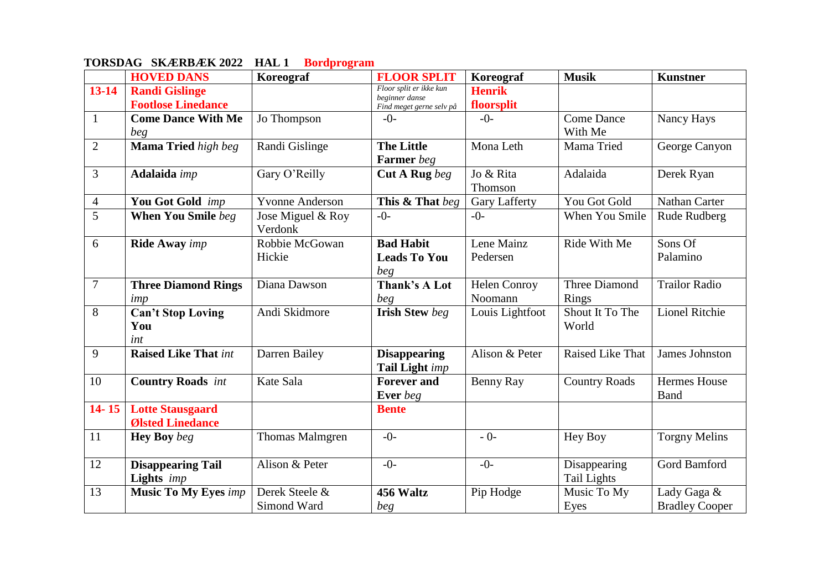|                | <b>HOVED DANS</b>           | Koreograf              | <b>FLOOR SPLIT</b>                        | Koreograf            | <b>Musik</b>         | <b>Kunstner</b>       |
|----------------|-----------------------------|------------------------|-------------------------------------------|----------------------|----------------------|-----------------------|
| $13 - 14$      | <b>Randi Gislinge</b>       |                        | Floor split er ikke kun<br>beginner danse | <b>Henrik</b>        |                      |                       |
|                | <b>Footlose Linedance</b>   |                        | Find meget gerne selv på                  | floorsplit           |                      |                       |
| $\mathbf{1}$   | <b>Come Dance With Me</b>   | Jo Thompson            | $-()$ -                                   | $-()$                | <b>Come Dance</b>    | Nancy Hays            |
|                | beg                         |                        |                                           |                      | With Me              |                       |
| $\overline{2}$ | Mama Tried high beg         | Randi Gislinge         | <b>The Little</b>                         | Mona Leth            | Mama Tried           | George Canyon         |
|                |                             |                        | Farmer beg                                |                      |                      |                       |
| 3              | Adalaida imp                | Gary O'Reilly          | Cut A Rug beg                             | Jo & Rita            | Adalaida             | Derek Ryan            |
|                |                             |                        |                                           | Thomson              |                      |                       |
| $\overline{4}$ | You Got Gold imp            | <b>Yvonne Anderson</b> | This & That beg                           | <b>Gary Lafferty</b> | You Got Gold         | <b>Nathan Carter</b>  |
| 5              | When You Smile beg          | Jose Miguel & Roy      | $-0-$                                     | $-0-$                | When You Smile       | Rude Rudberg          |
|                |                             | Verdonk                |                                           |                      |                      |                       |
| 6              | <b>Ride Away</b> imp        | Robbie McGowan         | <b>Bad Habit</b>                          | Lene Mainz           | Ride With Me         | Sons Of               |
|                |                             | Hickie                 | <b>Leads To You</b>                       | Pedersen             |                      | Palamino              |
|                |                             |                        | beg                                       |                      |                      |                       |
| $\overline{7}$ | <b>Three Diamond Rings</b>  | Diana Dawson           | Thank's A Lot                             | <b>Helen Conroy</b>  | <b>Three Diamond</b> | <b>Trailor Radio</b>  |
|                | imp                         |                        | beg                                       | Noomann              | Rings                |                       |
| 8              | <b>Can't Stop Loving</b>    | Andi Skidmore          | <b>Irish Stew beg</b>                     | Louis Lightfoot      | Shout It To The      | <b>Lionel Ritchie</b> |
|                | You                         |                        |                                           |                      | World                |                       |
|                | int                         |                        |                                           |                      |                      |                       |
| 9              | <b>Raised Like That int</b> | Darren Bailey          | <b>Disappearing</b>                       | Alison & Peter       | Raised Like That     | James Johnston        |
|                |                             |                        | Tail Light imp                            |                      |                      |                       |
| 10             | <b>Country Roads</b> int    | Kate Sala              | <b>Forever and</b>                        | Benny Ray            | <b>Country Roads</b> | <b>Hermes House</b>   |
|                |                             |                        | Ever beg                                  |                      |                      | <b>B</b> and          |
| $14 - 15$      | <b>Lotte Stausgaard</b>     |                        | <b>Bente</b>                              |                      |                      |                       |
|                | <b>Ølsted Linedance</b>     |                        |                                           |                      |                      |                       |
| 11             | <b>Hey Boy</b> beg          | <b>Thomas Malmgren</b> | $-()$                                     | $-0-$                | Hey Boy              | <b>Torgny Melins</b>  |
|                |                             |                        |                                           |                      |                      |                       |
| 12             | <b>Disappearing Tail</b>    | Alison & Peter         | $-0-$                                     | $-0-$                | Disappearing         | Gord Bamford          |
|                | Lights imp                  |                        |                                           |                      | <b>Tail Lights</b>   |                       |
| 13             | <b>Music To My Eyes imp</b> | Derek Steele &         | 456 Waltz                                 | Pip Hodge            | Music To My          | Lady Gaga &           |
|                |                             | Simond Ward            | beg                                       |                      | Eyes                 | <b>Bradley Cooper</b> |

## **TORSDAG SKÆRBÆK 2022 HAL 1 Bordprogram**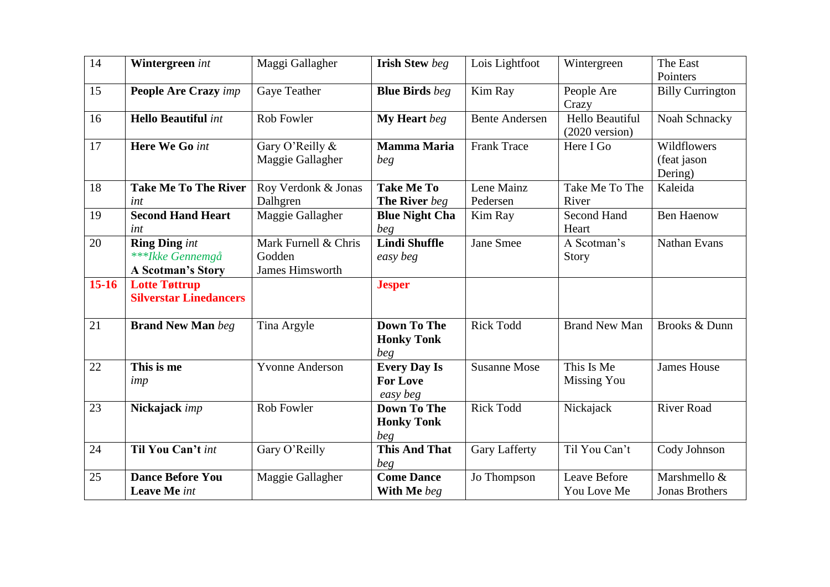| 14      | Wintergreen int                                                      | Maggi Gallagher                                          | <b>Irish Stew beg</b>                              | Lois Lightfoot         | Wintergreen                                 | The East<br>Pointers                  |
|---------|----------------------------------------------------------------------|----------------------------------------------------------|----------------------------------------------------|------------------------|---------------------------------------------|---------------------------------------|
| 15      | <b>People Are Crazy</b> imp                                          | Gaye Teather                                             | <b>Blue Birds</b> beg                              | Kim Ray                | People Are<br>Crazy                         | <b>Billy Currington</b>               |
| 16      | <b>Hello Beautiful int</b>                                           | <b>Rob Fowler</b>                                        | My Heart beg                                       | <b>Bente Andersen</b>  | Hello Beautiful<br>$(2020 \text{ version})$ | Noah Schnacky                         |
| 17      | Here We Go int                                                       | Gary O'Reilly &<br>Maggie Gallagher                      | <b>Mamma Maria</b><br>beg                          | <b>Frank Trace</b>     | Here I Go                                   | Wildflowers<br>(feat jason<br>Dering) |
| 18      | <b>Take Me To The River</b><br>int                                   | Roy Verdonk & Jonas<br>Dalhgren                          | <b>Take Me To</b><br>The River beg                 | Lene Mainz<br>Pedersen | Take Me To The<br>River                     | Kaleida                               |
| 19      | <b>Second Hand Heart</b><br>int                                      | Maggie Gallagher                                         | <b>Blue Night Cha</b><br>beg                       | Kim Ray                | <b>Second Hand</b><br>Heart                 | <b>Ben Haenow</b>                     |
| 20      | <b>Ring Ding</b> int<br>***Ikke Gennemgå<br><b>A Scotman's Story</b> | Mark Furnell & Chris<br>Godden<br><b>James Himsworth</b> | <b>Lindi Shuffle</b><br>easy beg                   | <b>Jane Smee</b>       | A Scotman's<br>Story                        | Nathan Evans                          |
| $15-16$ | <b>Lotte Tøttrup</b><br><b>Silverstar Linedancers</b>                |                                                          | <b>Jesper</b>                                      |                        |                                             |                                       |
| 21      | <b>Brand New Man beg</b>                                             | Tina Argyle                                              | <b>Down To The</b><br><b>Honky Tonk</b><br>beg     | <b>Rick Todd</b>       | <b>Brand New Man</b>                        | Brooks & Dunn                         |
| 22      | This is me<br>imp                                                    | <b>Yvonne Anderson</b>                                   | <b>Every Day Is</b><br><b>For Love</b><br>easy beg | <b>Susanne Mose</b>    | This Is Me<br><b>Missing You</b>            | <b>James House</b>                    |
| 23      | Nickajack imp                                                        | Rob Fowler                                               | <b>Down To The</b><br><b>Honky Tonk</b><br>beg     | <b>Rick Todd</b>       | Nickajack                                   | <b>River Road</b>                     |
| 24      | Til You Can't int                                                    | Gary O'Reilly                                            | <b>This And That</b><br>beg                        | <b>Gary Lafferty</b>   | Til You Can't                               | Cody Johnson                          |
| 25      | <b>Dance Before You</b><br><b>Leave Me</b> int                       | Maggie Gallagher                                         | <b>Come Dance</b><br>With Me beg                   | Jo Thompson            | Leave Before<br>You Love Me                 | Marshmello &<br><b>Jonas Brothers</b> |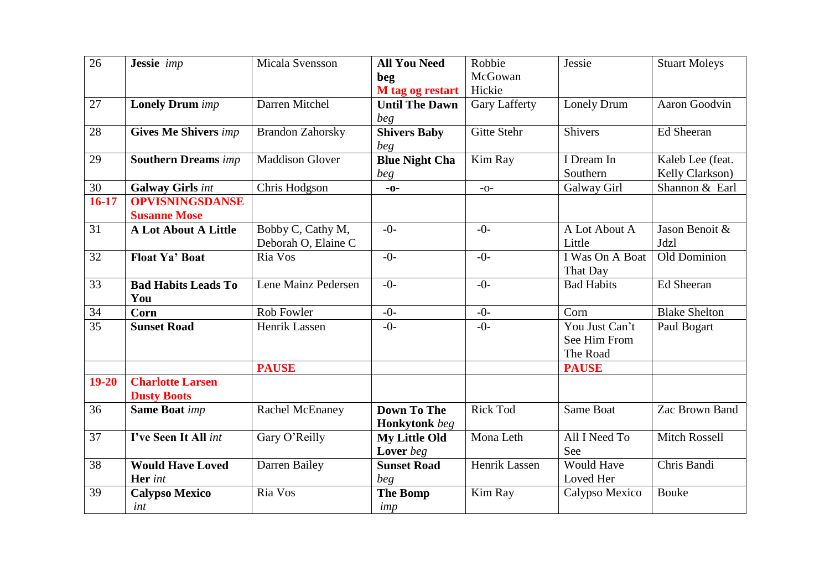| 26        | Jessie imp                                    | Micala Svensson                          | <b>All You Need</b><br>beg                 | Robbie<br>McGowan    | Jessie                                     | <b>Stuart Moleys</b>                |
|-----------|-----------------------------------------------|------------------------------------------|--------------------------------------------|----------------------|--------------------------------------------|-------------------------------------|
|           |                                               |                                          | M tag og restart                           | Hickie               |                                            |                                     |
| 27        | <b>Lonely Drum</b> imp                        | Darren Mitchel                           | <b>Until The Dawn</b><br>beg               | <b>Gary Lafferty</b> | Lonely Drum                                | Aaron Goodvin                       |
| 28        | <b>Gives Me Shivers imp</b>                   | <b>Brandon Zahorsky</b>                  | <b>Shivers Baby</b><br>beg                 | <b>Gitte Stehr</b>   | <b>Shivers</b>                             | Ed Sheeran                          |
| 29        | <b>Southern Dreams</b> imp                    | <b>Maddison Glover</b>                   | <b>Blue Night Cha</b><br>beg               | Kim Ray              | I Dream In<br>Southern                     | Kaleb Lee (feat.<br>Kelly Clarkson) |
| 30        | <b>Galway Girls int</b>                       | Chris Hodgson                            | $-0-$                                      | $-0-$                | Galway Girl                                | Shannon & Earl                      |
| $16-17$   | <b>OPVISNINGSDANSE</b><br><b>Susanne Mose</b> |                                          |                                            |                      |                                            |                                     |
| 31        | <b>A Lot About A Little</b>                   | Bobby C, Cathy M,<br>Deborah O, Elaine C | $-0-$                                      | $-0-$                | A Lot About A<br>Little                    | Jason Benoit &<br>Jdzl              |
| 32        | <b>Float Ya' Boat</b>                         | Ria Vos                                  | $-0-$                                      | $-0-$                | I Was On A Boat<br>That Day                | Old Dominion                        |
| 33        | <b>Bad Habits Leads To</b><br>You             | Lene Mainz Pedersen                      | $-0-$                                      | $-0-$                | <b>Bad Habits</b>                          | Ed Sheeran                          |
| 34        | Corn                                          | Rob Fowler                               | $-0-$                                      | $-0-$                | Corn                                       | <b>Blake Shelton</b>                |
| 35        | <b>Sunset Road</b>                            | <b>Henrik Lassen</b>                     | $-()$ -                                    | $-()$ -              | You Just Can't<br>See Him From<br>The Road | Paul Bogart                         |
|           |                                               | <b>PAUSE</b>                             |                                            |                      | <b>PAUSE</b>                               |                                     |
| $19 - 20$ | <b>Charlotte Larsen</b><br><b>Dusty Boots</b> |                                          |                                            |                      |                                            |                                     |
| 36        | <b>Same Boat imp</b>                          | <b>Rachel McEnaney</b>                   | <b>Down To The</b><br><b>Honkytonk</b> beg | <b>Rick Tod</b>      | Same Boat                                  | Zac Brown Band                      |
| 37        | I've Seen It All int                          | Gary O'Reilly                            | <b>My Little Old</b><br>Lover beg          | Mona Leth            | All I Need To<br>See                       | <b>Mitch Rossell</b>                |
| 38        | <b>Would Have Loved</b><br>Her int            | Darren Bailey                            | <b>Sunset Road</b><br>beg                  | Henrik Lassen        | <b>Would Have</b><br>Loved Her             | Chris Bandi                         |
| 39        | <b>Calypso Mexico</b><br>int                  | Ria Vos                                  | <b>The Bomp</b><br>imp                     | Kim Ray              | Calypso Mexico                             | <b>Bouke</b>                        |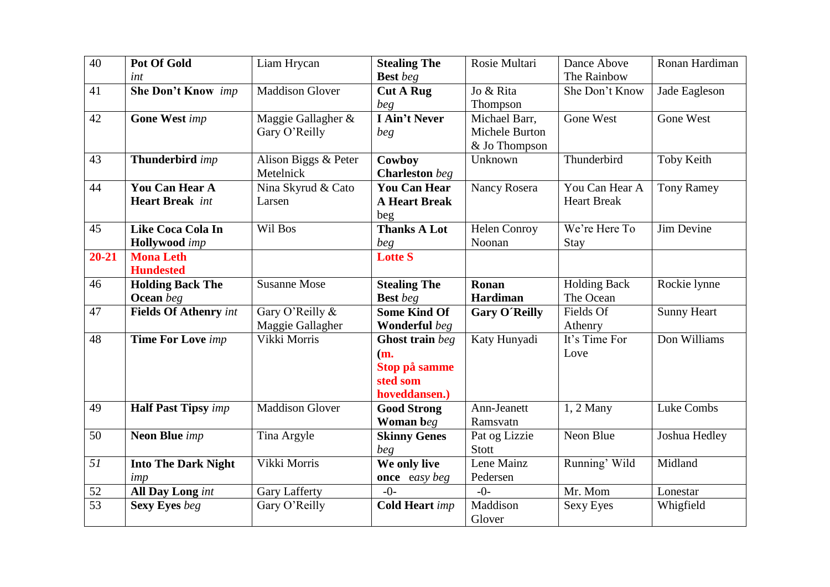| 40              | <b>Pot Of Gold</b>           | Liam Hrycan            | <b>Stealing The</b>   | Rosie Multari        | Dance Above         | Ronan Hardiman     |
|-----------------|------------------------------|------------------------|-----------------------|----------------------|---------------------|--------------------|
|                 | int                          |                        | <b>Best</b> beg       |                      | The Rainbow         |                    |
| 41              | <b>She Don't Know</b> imp    | <b>Maddison Glover</b> | <b>Cut A Rug</b>      | Jo & Rita            | She Don't Know      | Jade Eagleson      |
|                 |                              |                        | beg                   | Thompson             |                     |                    |
| 42              | <b>Gone West imp</b>         | Maggie Gallagher &     | I Ain't Never         | Michael Barr,        | <b>Gone West</b>    | Gone West          |
|                 |                              | Gary O'Reilly          | beg                   | Michele Burton       |                     |                    |
|                 |                              |                        |                       | & Jo Thompson        |                     |                    |
| 43              | Thunderbird imp              | Alison Biggs & Peter   | Cowboy                | Unknown              | Thunderbird         | Toby Keith         |
|                 |                              | Metelnick              | <b>Charleston</b> beg |                      |                     |                    |
| 44              | <b>You Can Hear A</b>        | Nina Skyrud & Cato     | <b>You Can Hear</b>   | <b>Nancy Rosera</b>  | You Can Hear A      | <b>Tony Ramey</b>  |
|                 | <b>Heart Break</b> int       | Larsen                 | <b>A Heart Break</b>  |                      | <b>Heart Break</b>  |                    |
|                 |                              |                        | beg                   |                      |                     |                    |
| 45              | <b>Like Coca Cola In</b>     | Wil Bos                | <b>Thanks A Lot</b>   | <b>Helen Conroy</b>  | We're Here To       | Jim Devine         |
|                 | <b>Hollywood</b> imp         |                        | beg                   | Noonan               | Stay                |                    |
| $20 - 21$       | <b>Mona Leth</b>             |                        | <b>Lotte S</b>        |                      |                     |                    |
|                 | <b>Hundested</b>             |                        |                       |                      |                     |                    |
| 46              | <b>Holding Back The</b>      | <b>Susanne Mose</b>    | <b>Stealing The</b>   | Ronan                | <b>Holding Back</b> | Rockie lynne       |
|                 | Ocean beg                    |                        | <b>Best</b> beg       | Hardiman             | The Ocean           |                    |
| 47              | <b>Fields Of Athenry int</b> | Gary O'Reilly &        | <b>Some Kind Of</b>   | <b>Gary O'Reilly</b> | Fields Of           | <b>Sunny Heart</b> |
|                 |                              | Maggie Gallagher       | Wonderful beg         |                      | Athenry             |                    |
| 48              | <b>Time For Love</b> imp     | Vikki Morris           | Ghost train beg       | Katy Hunyadi         | It's Time For       | Don Williams       |
|                 |                              |                        | (m.                   |                      | Love                |                    |
|                 |                              |                        | Stop på samme         |                      |                     |                    |
|                 |                              |                        | sted som              |                      |                     |                    |
|                 |                              |                        | hoveddansen.)         |                      |                     |                    |
| 49              | <b>Half Past Tipsy</b> imp   | <b>Maddison Glover</b> | <b>Good Strong</b>    | Ann-Jeanett          | $1, 2$ Many         | Luke Combs         |
|                 |                              |                        | Woman beg             | Ramsvatn             |                     |                    |
| 50              | <b>Neon Blue</b> imp         | Tina Argyle            | <b>Skinny Genes</b>   | Pat og Lizzie        | Neon Blue           | Joshua Hedley      |
|                 |                              |                        | beg                   | <b>Stott</b>         |                     |                    |
| 51              | <b>Into The Dark Night</b>   | Vikki Morris           | We only live          | Lene Mainz           | Running' Wild       | Midland            |
|                 | imp                          |                        | once easy beg         | Pedersen             |                     |                    |
| 52              | All Day Long int             | <b>Gary Lafferty</b>   | $-()$                 | $-()$ -              | Mr. Mom             | Lonestar           |
| $\overline{53}$ | <b>Sexy Eyes</b> beg         | Gary O'Reilly          | <b>Cold Heart</b> imp | Maddison             | Sexy Eyes           | Whigfield          |
|                 |                              |                        |                       | Glover               |                     |                    |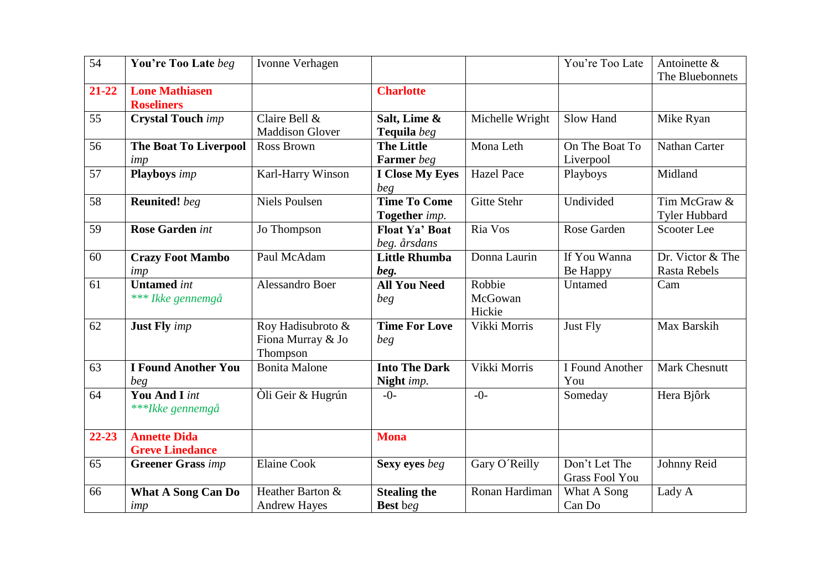| 54        | You're Too Late beg                           | Ivonne Verhagen                                    |                                        |                             | You're Too Late                        | Antoinette &<br>The Bluebonnets      |
|-----------|-----------------------------------------------|----------------------------------------------------|----------------------------------------|-----------------------------|----------------------------------------|--------------------------------------|
| $21 - 22$ | <b>Lone Mathiasen</b><br><b>Roseliners</b>    |                                                    | <b>Charlotte</b>                       |                             |                                        |                                      |
| 55        | <b>Crystal Touch imp</b>                      | Claire Bell &<br><b>Maddison Glover</b>            | Salt, Lime &<br>Tequila beg            | Michelle Wright             | Slow Hand                              | Mike Ryan                            |
| 56        | <b>The Boat To Liverpool</b><br>imp           | Ross Brown                                         | <b>The Little</b><br><b>Farmer</b> beg | Mona Leth                   | On The Boat To<br>Liverpool            | <b>Nathan Carter</b>                 |
| 57        | <b>Playboys</b> imp                           | Karl-Harry Winson                                  | <b>I Close My Eyes</b><br>beg          | <b>Hazel Pace</b>           | Playboys                               | Midland                              |
| 58        | <b>Reunited!</b> beg                          | <b>Niels Poulsen</b>                               | <b>Time To Come</b><br>Together imp.   | <b>Gitte Stehr</b>          | Undivided                              | Tim McGraw &<br><b>Tyler Hubbard</b> |
| 59        | <b>Rose Garden int</b>                        | Jo Thompson                                        | <b>Float Ya' Boat</b><br>beg. årsdans  | Ria Vos                     | Rose Garden                            | <b>Scooter Lee</b>                   |
| 60        | <b>Crazy Foot Mambo</b><br>imp                | Paul McAdam                                        | <b>Little Rhumba</b><br>beg.           | Donna Laurin                | If You Wanna<br>Be Happy               | Dr. Victor & The<br>Rasta Rebels     |
| 61        | <b>Untamed</b> int<br>*** Ikke gennemgå       | Alessandro Boer                                    | <b>All You Need</b><br>beg             | Robbie<br>McGowan<br>Hickie | Untamed                                | Cam                                  |
| 62        | <b>Just Fly</b> imp                           | Roy Hadisubroto &<br>Fiona Murray & Jo<br>Thompson | <b>Time For Love</b><br>beg            | Vikki Morris                | Just Fly                               | Max Barskih                          |
| 63        | <b>I Found Another You</b><br>beg             | <b>Bonita Malone</b>                               | <b>Into The Dark</b><br>Night imp.     | Vikki Morris                | I Found Another<br>You                 | <b>Mark Chesnutt</b>                 |
| 64        | <b>You And I</b> int<br>***Ikke gennemgå      | Oli Geir & Hugrún                                  | $-0-$                                  | $-()$ -                     | Someday                                | Hera Bjôrk                           |
| $22 - 23$ | <b>Annette Dida</b><br><b>Greve Linedance</b> |                                                    | <b>Mona</b>                            |                             |                                        |                                      |
| 65        | <b>Greener Grass</b> imp                      | <b>Elaine Cook</b>                                 | Sexy eyes beg                          | Gary O'Reilly               | Don't Let The<br><b>Grass Fool You</b> | Johnny Reid                          |
| 66        | <b>What A Song Can Do</b><br>imp              | Heather Barton &<br><b>Andrew Hayes</b>            | <b>Stealing the</b><br><b>Best</b> beg | Ronan Hardiman              | What A Song<br>Can Do                  | Lady A                               |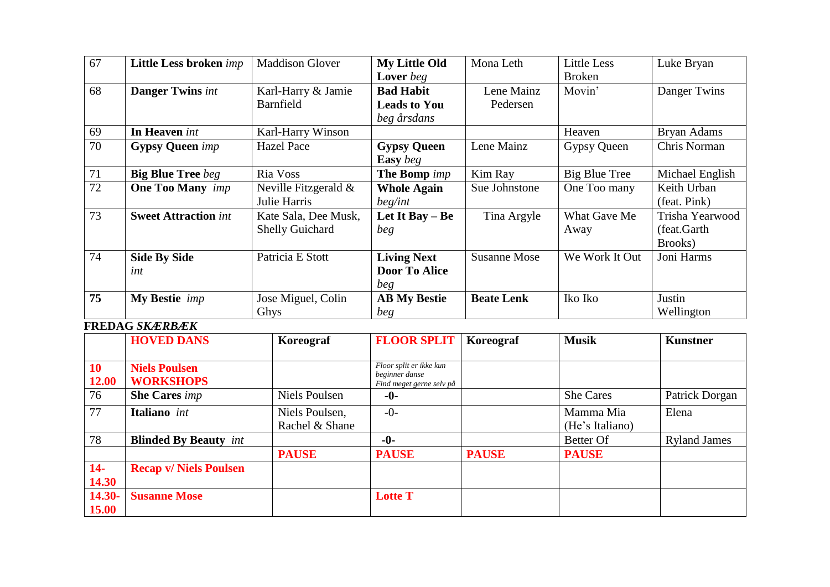| 67 | Little Less broken <i>imp</i>  | <b>Maddison Glover</b>  | <b>My Little Old</b> | Mona Leth           | <b>Little Less</b> | Luke Bryan      |
|----|--------------------------------|-------------------------|----------------------|---------------------|--------------------|-----------------|
|    |                                |                         | Lover beg            |                     | <b>Broken</b>      |                 |
| 68 | <b>Danger Twins</b> int        | Karl-Harry & Jamie      | <b>Bad Habit</b>     | Lene Mainz          | Movin'             | Danger Twins    |
|    |                                | Barnfield               | <b>Leads to You</b>  | Pedersen            |                    |                 |
|    |                                |                         | beg årsdans          |                     |                    |                 |
| 69 | In Heaven int                  | Karl-Harry Winson       |                      |                     | Heaven             | Bryan Adams     |
| 70 | <b>Gypsy Queen</b> imp         | <b>Hazel Pace</b>       | <b>Gypsy Queen</b>   | Lene Mainz          | Gypsy Queen        | Chris Norman    |
|    |                                |                         | <b>Easy</b> beg      |                     |                    |                 |
| 71 | <b>Big Blue Tree</b> beg       | Ria Voss                | The Bomp <i>imp</i>  | Kim Ray             | Big Blue Tree      | Michael English |
| 72 | <b>One Too Many</b> <i>imp</i> | Neville Fitzgerald $\&$ | <b>Whole Again</b>   | Sue Johnstone       | One Too many       | Keith Urban     |
|    |                                | Julie Harris            | beg/int              |                     |                    | (feat. Pink)    |
| 73 | <b>Sweet Attraction int</b>    | Kate Sala, Dee Musk,    | Let It Bay $-$ Be    | Tina Argyle         | What Gave Me       | Trisha Yearwood |
|    |                                | <b>Shelly Guichard</b>  | beg                  |                     | Away               | (feat.Garth)    |
|    |                                |                         |                      |                     |                    | Brooks)         |
| 74 | <b>Side By Side</b>            | Patricia E Stott        | <b>Living Next</b>   | <b>Susanne Mose</b> | We Work It Out     | Joni Harms      |
|    | int                            |                         | <b>Door To Alice</b> |                     |                    |                 |
|    |                                |                         | beg                  |                     |                    |                 |
| 75 | My Bestie <i>imp</i>           | Jose Miguel, Colin      | <b>AB My Bestie</b>  | <b>Beate Lenk</b>   | Iko Iko            | Justin          |
|    |                                | Ghys                    | beg                  |                     |                    | Wellington      |

## **FREDAG** *SKÆRBÆK*

|                 | <b>HOVED DANS</b>                        | Koreograf                        | <b>FLOOR SPLIT</b>                                                    | Koreograf    | <b>Musik</b>                 | <b>Kunstner</b>     |
|-----------------|------------------------------------------|----------------------------------|-----------------------------------------------------------------------|--------------|------------------------------|---------------------|
| 10<br>12.00     | <b>Niels Poulsen</b><br><b>WORKSHOPS</b> |                                  | Floor split er ikke kun<br>beginner danse<br>Find meget gerne selv på |              |                              |                     |
| 76              | <b>She Cares</b> imp                     | Niels Poulsen                    | $-0-$                                                                 |              | She Cares                    | Patrick Dorgan      |
| 77              | Italiano int                             | Niels Poulsen,<br>Rachel & Shane | $-0-$                                                                 |              | Mamma Mia<br>(He's Italiano) | Elena               |
| 78              | <b>Blinded By Beauty</b> int             |                                  | $-0-$                                                                 |              | Better Of                    | <b>Ryland James</b> |
|                 |                                          | <b>PAUSE</b>                     | <b>PAUSE</b>                                                          | <b>PAUSE</b> | <b>PAUSE</b>                 |                     |
| $14-$<br>14.30  | <b>Recap v/ Niels Poulsen</b>            |                                  |                                                                       |              |                              |                     |
| 14.30-<br>15.00 | <b>Susanne Mose</b>                      |                                  | <b>Lotte T</b>                                                        |              |                              |                     |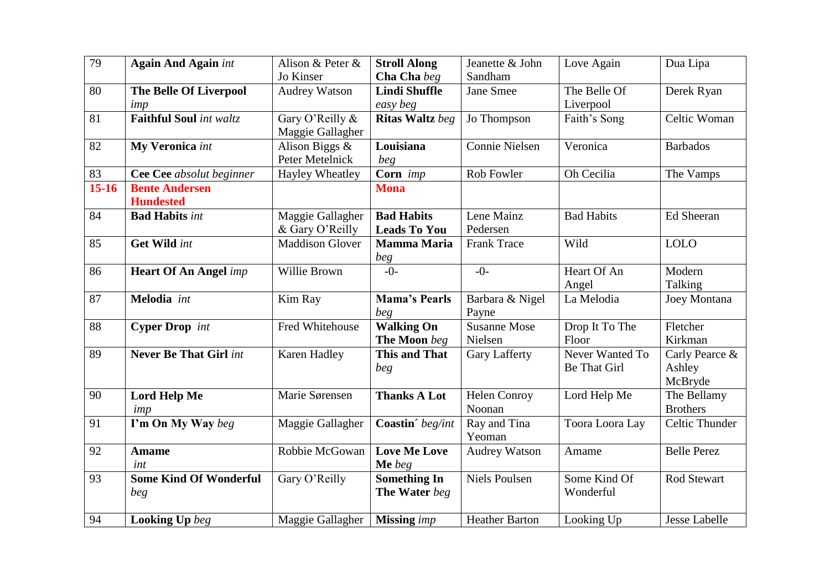| 79              | <b>Again And Again int</b>                | Alison & Peter &<br>Jo Kinser       | <b>Stroll Along</b><br>Cha Cha beg       | Jeanette & John<br>Sandham     | Love Again                      | Dua Lipa                            |
|-----------------|-------------------------------------------|-------------------------------------|------------------------------------------|--------------------------------|---------------------------------|-------------------------------------|
| 80              | <b>The Belle Of Liverpool</b><br>imp      | <b>Audrey Watson</b>                | Lindi Shuffle<br>easy beg                | Jane Smee                      | The Belle Of<br>Liverpool       | Derek Ryan                          |
| 81              | <b>Faithful Soul</b> int waltz            | Gary O'Reilly &<br>Maggie Gallagher | Ritas Waltz beg                          | Jo Thompson                    | Faith's Song                    | Celtic Woman                        |
| 82              | My Veronica int                           | Alison Biggs &<br>Peter Metelnick   | Louisiana<br>beg                         | Connie Nielsen                 | Veronica                        | <b>Barbados</b>                     |
| $\overline{83}$ | Cee Cee absolut beginner                  | <b>Hayley Wheatley</b>              | Corn imp                                 | Rob Fowler                     | Oh Cecilia                      | The Vamps                           |
| $15-16$         | <b>Bente Andersen</b><br><b>Hundested</b> |                                     | <b>Mona</b>                              |                                |                                 |                                     |
| 84              | <b>Bad Habits int</b>                     | Maggie Gallagher<br>& Gary O'Reilly | <b>Bad Habits</b><br><b>Leads To You</b> | Lene Mainz<br>Pedersen         | <b>Bad Habits</b>               | Ed Sheeran                          |
| 85              | Get Wild int                              | <b>Maddison Glover</b>              | <b>Mamma Maria</b><br>beg                | <b>Frank Trace</b>             | Wild                            | <b>LOLO</b>                         |
| 86              | <b>Heart Of An Angel imp</b>              | Willie Brown                        | $-()$                                    | $-0-$                          | Heart Of An<br>Angel            | Modern<br>Talking                   |
| 87              | Melodia int                               | Kim Ray                             | <b>Mama's Pearls</b><br>beg              | Barbara & Nigel<br>Payne       | La Melodia                      | Joey Montana                        |
| $\overline{88}$ | <b>Cyper Drop</b> int                     | Fred Whitehouse                     | <b>Walking On</b><br>The Moon beg        | <b>Susanne Mose</b><br>Nielsen | Drop It To The<br>Floor         | Fletcher<br>Kirkman                 |
| 89              | <b>Never Be That Girl int</b>             | Karen Hadley                        | <b>This and That</b><br>beg              | <b>Gary Lafferty</b>           | Never Wanted To<br>Be That Girl | Carly Pearce &<br>Ashley<br>McBryde |
| 90              | <b>Lord Help Me</b><br>imp                | Marie Sørensen                      | <b>Thanks A Lot</b>                      | <b>Helen Conroy</b><br>Noonan  | Lord Help Me                    | The Bellamy<br><b>Brothers</b>      |
| 91              | I'm On My Way beg                         | Maggie Gallagher                    | Coastin' beg/int                         | Ray and Tina<br>Yeoman         | Toora Loora Lay                 | Celtic Thunder                      |
| 92              | <b>Amame</b><br>int                       | Robbie McGowan                      | <b>Love Me Love</b><br>Me beg            | <b>Audrey Watson</b>           | Amame                           | <b>Belle Perez</b>                  |
| 93              | <b>Some Kind Of Wonderful</b><br>beg      | Gary O'Reilly                       | Something In<br>The Water beg            | <b>Niels Poulsen</b>           | Some Kind Of<br>Wonderful       | Rod Stewart                         |
| 94              | <b>Looking Up</b> beg                     | Maggie Gallagher                    | <b>Missing</b> imp                       | <b>Heather Barton</b>          | Looking Up                      | <b>Jesse Labelle</b>                |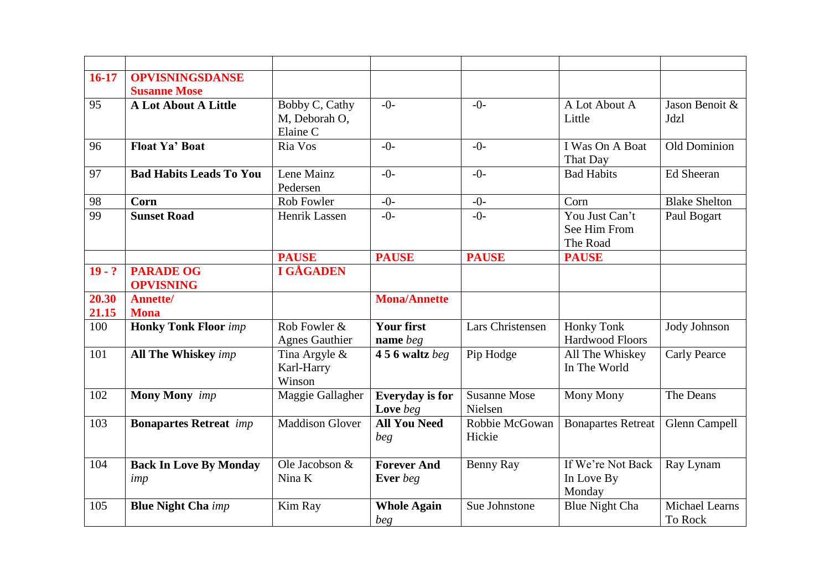| $16-17$        | <b>OPVISNINGSDANSE</b>               |                                             |                                    |                                |                                            |                                  |
|----------------|--------------------------------------|---------------------------------------------|------------------------------------|--------------------------------|--------------------------------------------|----------------------------------|
|                | <b>Susanne Mose</b>                  |                                             |                                    |                                |                                            |                                  |
| 95             | <b>A Lot About A Little</b>          | Bobby C, Cathy<br>M, Deborah O,<br>Elaine C | $-()$ -                            | $-()$ -                        | A Lot About A<br>Little                    | Jason Benoit &<br>Jdzl           |
| 96             | <b>Float Ya' Boat</b>                | Ria Vos                                     | $-0-$                              | $-0-$                          | I Was On A Boat<br>That Day                | Old Dominion                     |
| 97             | <b>Bad Habits Leads To You</b>       | Lene Mainz<br>Pedersen                      | $-0-$                              | $-0-$                          | <b>Bad Habits</b>                          | <b>Ed Sheeran</b>                |
| 98             | Corn                                 | Rob Fowler                                  | $-0-$                              | $-0-$                          | Corn                                       | <b>Blake Shelton</b>             |
| 99             | <b>Sunset Road</b>                   | Henrik Lassen                               | $-0-$                              | $-0-$                          | You Just Can't<br>See Him From<br>The Road | Paul Bogart                      |
|                |                                      | <b>PAUSE</b>                                | <b>PAUSE</b>                       | <b>PAUSE</b>                   | <b>PAUSE</b>                               |                                  |
| $19 - ?$       | <b>PARADE OG</b><br><b>OPVISNING</b> | <b>I GÅGADEN</b>                            |                                    |                                |                                            |                                  |
| 20.30<br>21.15 | <b>Annette/</b><br><b>Mona</b>       |                                             | <b>Mona/Annette</b>                |                                |                                            |                                  |
| 100            | <b>Honky Tonk Floor</b> imp          | Rob Fowler &<br><b>Agnes Gauthier</b>       | <b>Your first</b><br>name beg      | Lars Christensen               | <b>Honky Tonk</b><br>Hardwood Floors       | Jody Johnson                     |
| 101            | <b>All The Whiskey</b> imp           | Tina Argyle &<br>Karl-Harry<br>Winson       | $456$ waltz beg                    | Pip Hodge                      | All The Whiskey<br>In The World            | <b>Carly Pearce</b>              |
| 102            | <b>Mony Mony</b> imp                 | Maggie Gallagher                            | <b>Everyday</b> is for<br>Love beg | <b>Susanne Mose</b><br>Nielsen | Mony Mony                                  | The Deans                        |
| 103            | <b>Bonapartes Retreat</b> imp        | <b>Maddison Glover</b>                      | <b>All You Need</b><br>beg         | Robbie McGowan<br>Hickie       | <b>Bonapartes Retreat</b>                  | Glenn Campell                    |
| 104            | <b>Back In Love By Monday</b><br>imp | Ole Jacobson &<br>Nina K                    | <b>Forever And</b><br>Ever beg     | Benny Ray                      | If We're Not Back<br>In Love By<br>Monday  | Ray Lynam                        |
| 105            | <b>Blue Night Cha</b> imp            | Kim Ray                                     | <b>Whole Again</b><br>beg          | Sue Johnstone                  | <b>Blue Night Cha</b>                      | <b>Michael Learns</b><br>To Rock |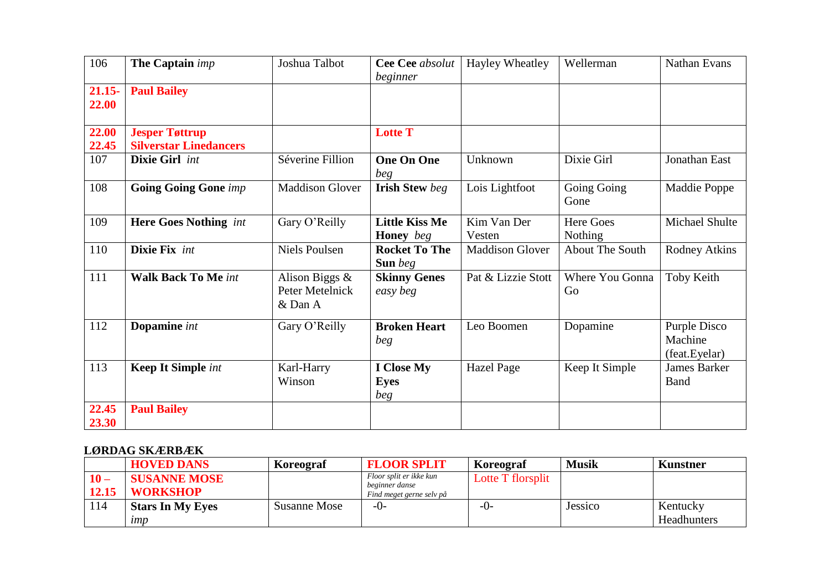| 106                | The Captain imp                                        | Joshua Talbot                                   | Cee Cee absolut<br>beginner               | Hayley Wheatley        | Wellerman              | Nathan Evans                             |
|--------------------|--------------------------------------------------------|-------------------------------------------------|-------------------------------------------|------------------------|------------------------|------------------------------------------|
| $21.15 -$<br>22.00 | <b>Paul Bailey</b>                                     |                                                 |                                           |                        |                        |                                          |
| 22.00<br>22.45     | <b>Jesper Tøttrup</b><br><b>Silverstar Linedancers</b> |                                                 | <b>Lotte T</b>                            |                        |                        |                                          |
| 107                | Dixie Girl int                                         | Séverine Fillion                                | <b>One On One</b><br>beg                  | Unknown                | Dixie Girl             | Jonathan East                            |
| 108                | <b>Going Going Gone imp</b>                            | <b>Maddison Glover</b>                          | <b>Irish Stew beg</b>                     | Lois Lightfoot         | Going Going<br>Gone    | Maddie Poppe                             |
| 109                | <b>Here Goes Nothing</b> int                           | Gary O'Reilly                                   | <b>Little Kiss Me</b><br><b>Honey</b> beg | Kim Van Der<br>Vesten  | Here Goes<br>Nothing   | Michael Shulte                           |
| 110                | Dixie Fix int                                          | <b>Niels Poulsen</b>                            | <b>Rocket To The</b><br><b>Sun</b> beg    | <b>Maddison Glover</b> | <b>About The South</b> | <b>Rodney Atkins</b>                     |
| 111                | <b>Walk Back To Me int</b>                             | Alison Biggs $\&$<br>Peter Metelnick<br>& Dan A | <b>Skinny Genes</b><br>easy beg           | Pat & Lizzie Stott     | Where You Gonna<br>Go  | Toby Keith                               |
| 112                | Dopamine int                                           | Gary O'Reilly                                   | <b>Broken Heart</b><br>beg                | Leo Boomen             | Dopamine               | Purple Disco<br>Machine<br>(feat.Eyelar) |
| 113                | <b>Keep It Simple int</b>                              | Karl-Harry<br>Winson                            | <b>I</b> Close My<br><b>Eyes</b><br>beg   | <b>Hazel Page</b>      | Keep It Simple         | <b>James Barker</b><br>Band              |
| 22.45<br>23.30     | <b>Paul Bailey</b>                                     |                                                 |                                           |                        |                        |                                          |

## **LØRDAG SKÆRBÆK**

|                | <b>HOVED DANS</b>                      | Koreograf    | <b>FLOOR SPLIT</b>                                                    | Koreograf         | <b>Musik</b> | Kunstner                |
|----------------|----------------------------------------|--------------|-----------------------------------------------------------------------|-------------------|--------------|-------------------------|
| $10-$<br>12.15 | <b>SUSANNE MOSE</b><br><b>WORKSHOP</b> |              | Floor split er ikke kun<br>beginner danse<br>Find meget gerne selv på | Lotte T florsplit |              |                         |
| 114            | <b>Stars In My Eyes</b><br>$\mu$       | Susanne Mose | $-()$                                                                 | -0-               | Jessico      | Kentucky<br>Headhunters |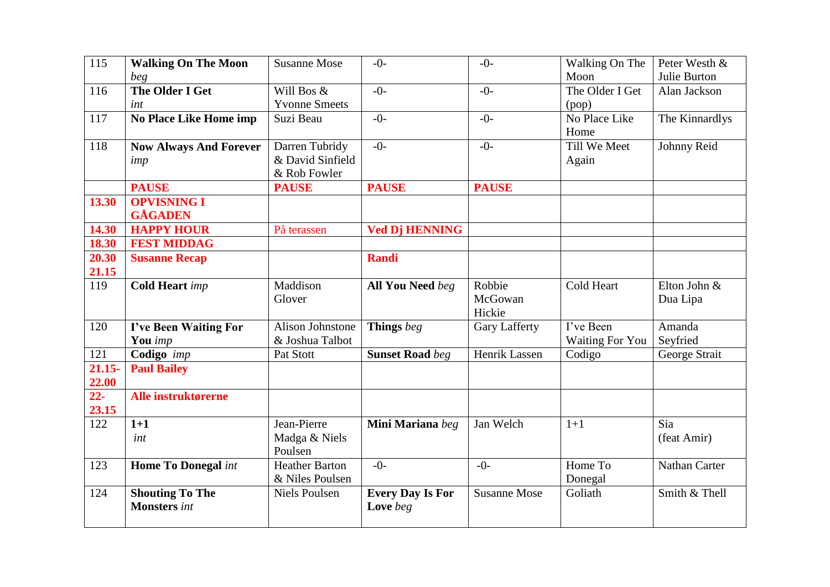| 115       | <b>Walking On The Moon</b>    | <b>Susanne Mose</b>   | $-0-$                   | $-0-$                | Walking On The         | Peter Westh &        |
|-----------|-------------------------------|-----------------------|-------------------------|----------------------|------------------------|----------------------|
|           | beg                           |                       |                         |                      | Moon                   | Julie Burton         |
| 116       | <b>The Older I Get</b>        | Will Bos &            | $-()$                   | $-0-$                | The Older I Get        | Alan Jackson         |
|           | int                           | <b>Yvonne Smeets</b>  |                         |                      | (pop)                  |                      |
| 117       | <b>No Place Like Home imp</b> | Suzi Beau             | $-0-$                   | $-0-$                | No Place Like          | The Kinnardlys       |
|           |                               |                       |                         |                      | Home                   |                      |
| 118       | <b>Now Always And Forever</b> | Darren Tubridy        | $-0-$                   | $-0-$                | Till We Meet           | Johnny Reid          |
|           | imp                           | & David Sinfield      |                         |                      | Again                  |                      |
|           |                               | & Rob Fowler          |                         |                      |                        |                      |
|           | <b>PAUSE</b>                  | <b>PAUSE</b>          | <b>PAUSE</b>            | <b>PAUSE</b>         |                        |                      |
| 13.30     | <b>OPVISNING I</b>            |                       |                         |                      |                        |                      |
|           | <b>GÅGADEN</b>                |                       |                         |                      |                        |                      |
| 14.30     | <b>HAPPY HOUR</b>             | På terassen           | <b>Ved Dj HENNING</b>   |                      |                        |                      |
| 18.30     | <b>FEST MIDDAG</b>            |                       |                         |                      |                        |                      |
| 20.30     | <b>Susanne Recap</b>          |                       | <b>Randi</b>            |                      |                        |                      |
| 21.15     |                               |                       |                         |                      |                        |                      |
| 119       | <b>Cold Heart</b> imp         | Maddison              | <b>All You Need</b> beg | Robbie               | Cold Heart             | Elton John &         |
|           |                               | Glover                |                         | McGowan              |                        | Dua Lipa             |
|           |                               |                       |                         | Hickie               |                        |                      |
| 120       | I've Been Waiting For         | Alison Johnstone      | Things beg              | <b>Gary Lafferty</b> | I've Been              | Amanda               |
|           | You imp                       | & Joshua Talbot       |                         |                      | <b>Waiting For You</b> | Seyfried             |
| 121       | Codigo imp                    | Pat Stott             | <b>Sunset Road beg</b>  | Henrik Lassen        | Codigo                 | George Strait        |
| $21.15 -$ | <b>Paul Bailey</b>            |                       |                         |                      |                        |                      |
| 22.00     |                               |                       |                         |                      |                        |                      |
| $22 -$    | Alle instruktørerne           |                       |                         |                      |                        |                      |
| 23.15     |                               |                       |                         |                      |                        |                      |
| 122       | $1+1$                         | Jean-Pierre           | Mini Mariana beg        | Jan Welch            | $1+1$                  | Sia                  |
|           | int                           | Madga & Niels         |                         |                      |                        | (feat Amir)          |
|           |                               | Poulsen               | $-()$ -                 | $-()$ -              | Home To                |                      |
| 123       | <b>Home To Donegal int</b>    | <b>Heather Barton</b> |                         |                      |                        | <b>Nathan Carter</b> |
|           |                               | & Niles Poulsen       |                         |                      | Donegal                | Smith & Thell        |
| 124       | <b>Shouting To The</b>        | <b>Niels Poulsen</b>  | <b>Every Day Is For</b> | <b>Susanne Mose</b>  | Goliath                |                      |
|           | <b>Monsters</b> int           |                       | Love beg                |                      |                        |                      |
|           |                               |                       |                         |                      |                        |                      |